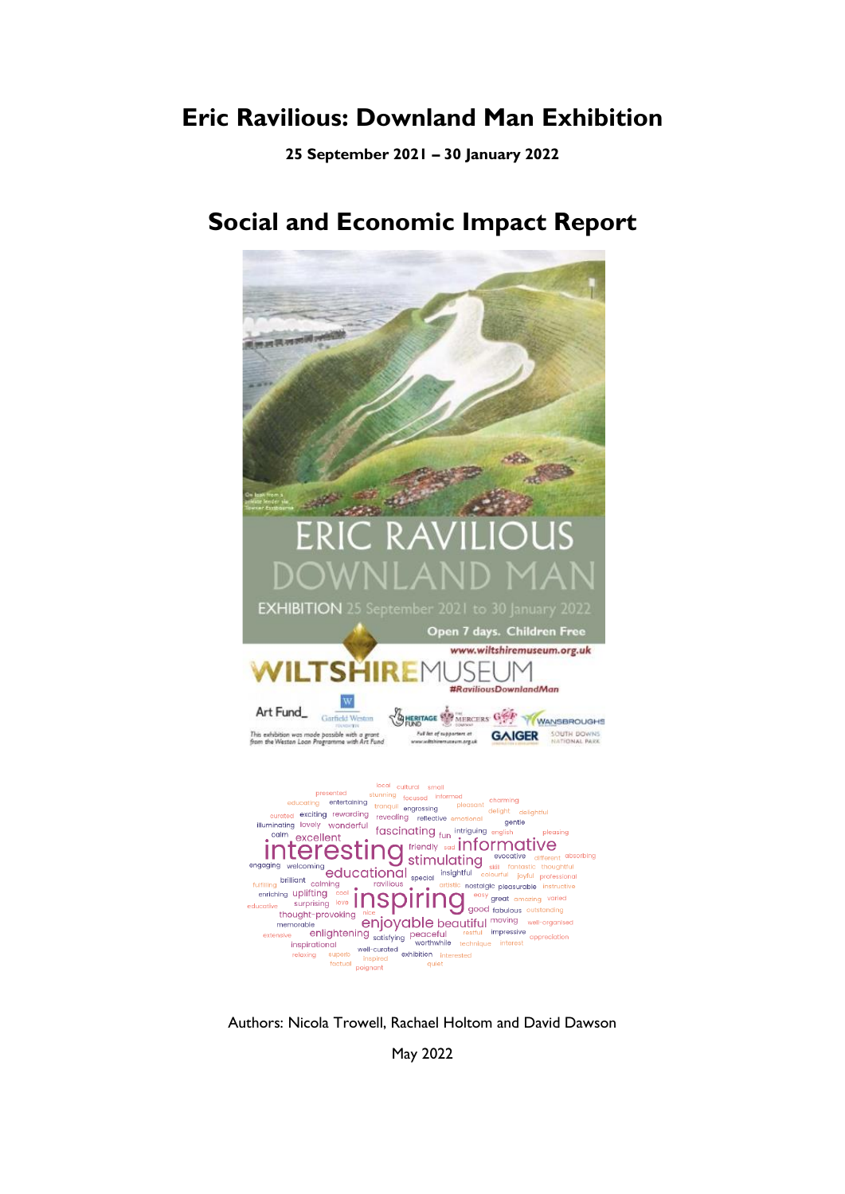# **Eric Ravilious: Downland Man Exhibition**

**25 September 2021 – 30 January 2022**



# **Social and Economic Impact Report**

Authors: Nicola Trowell, Rachael Holtom and David Dawson

May 2022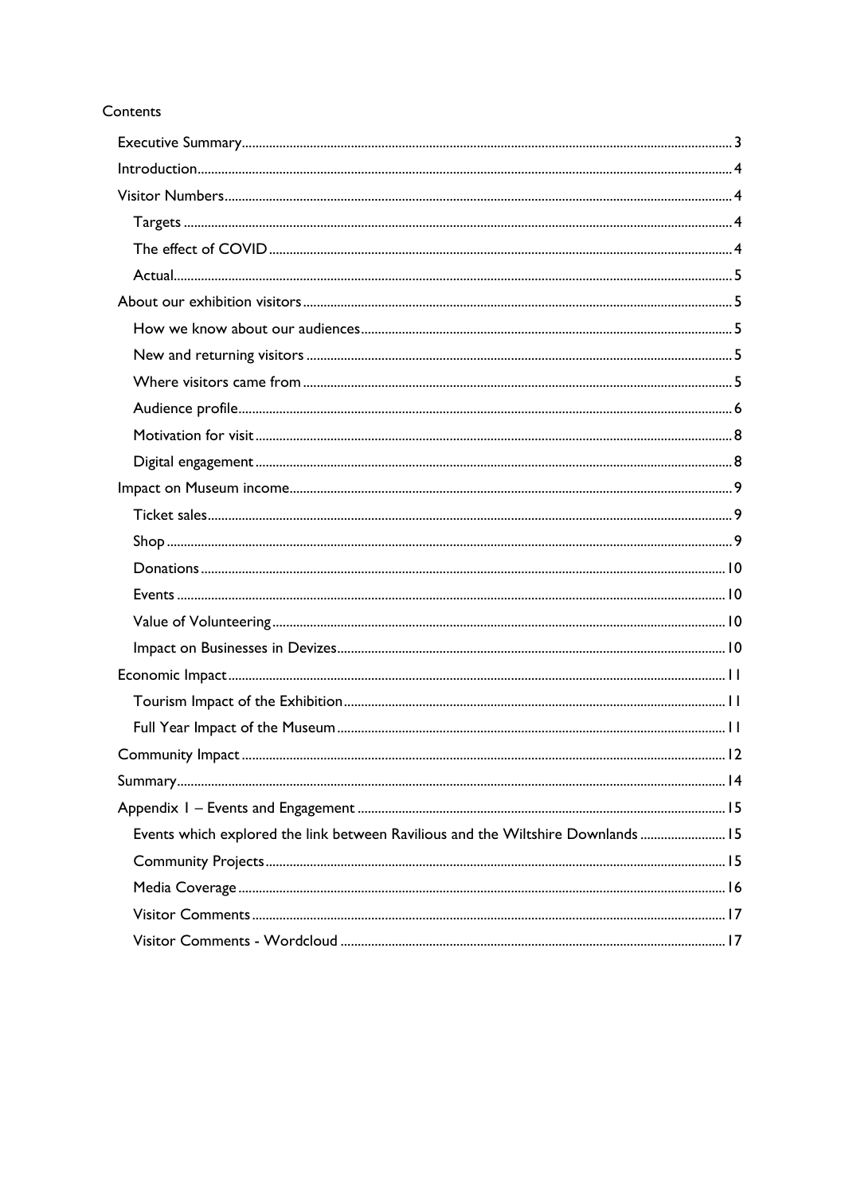## Contents

| Events which explored the link between Ravilious and the Wiltshire Downlands  15 |  |
|----------------------------------------------------------------------------------|--|
|                                                                                  |  |
|                                                                                  |  |
|                                                                                  |  |
|                                                                                  |  |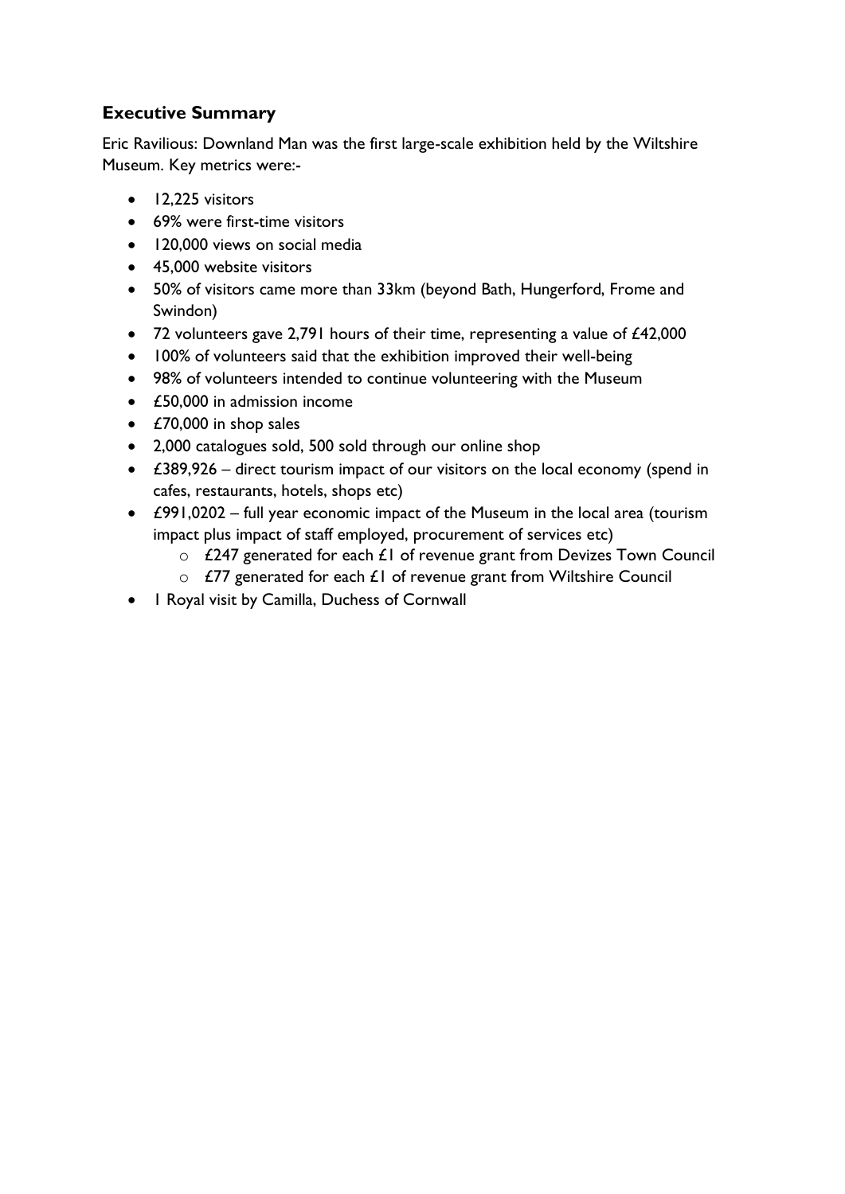# <span id="page-2-0"></span>**Executive Summary**

Eric Ravilious: Downland Man was the first large-scale exhibition held by the Wiltshire Museum. Key metrics were:-

- 12,225 visitors
- 69% were first-time visitors
- 120,000 views on social media
- 45,000 website visitors
- 50% of visitors came more than 33km (beyond Bath, Hungerford, Frome and Swindon)
- 72 volunteers gave 2,791 hours of their time, representing a value of £42,000
- 100% of volunteers said that the exhibition improved their well-being
- 98% of volunteers intended to continue volunteering with the Museum
- £50,000 in admission income
- £70,000 in shop sales
- 2,000 catalogues sold, 500 sold through our online shop
- £389,926 direct tourism impact of our visitors on the local economy (spend in cafes, restaurants, hotels, shops etc)
- £991,0202 full year economic impact of the Museum in the local area (tourism impact plus impact of staff employed, procurement of services etc)
	- o £247 generated for each £1 of revenue grant from Devizes Town Council
	- $\circ$  £77 generated for each £1 of revenue grant from Wiltshire Council
- 1 Royal visit by Camilla, Duchess of Cornwall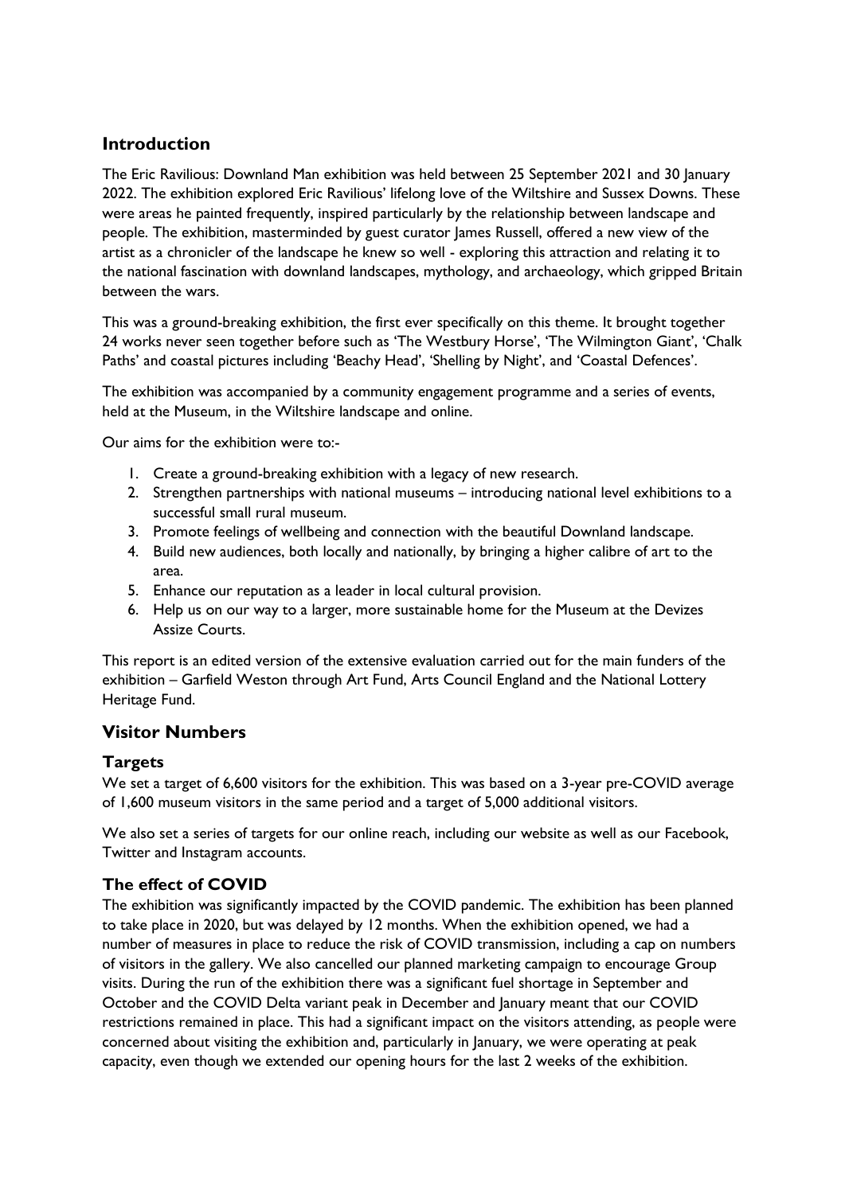## <span id="page-3-0"></span>**Introduction**

The Eric Ravilious: Downland Man exhibition was held between 25 September 2021 and 30 January 2022. The exhibition explored Eric Ravilious' lifelong love of the Wiltshire and Sussex Downs. These were areas he painted frequently, inspired particularly by the relationship between landscape and people. The exhibition, masterminded by guest curator James Russell, offered a new view of the artist as a chronicler of the landscape he knew so well - exploring this attraction and relating it to the national fascination with downland landscapes, mythology, and archaeology, which gripped Britain between the wars.

This was a ground-breaking exhibition, the first ever specifically on this theme. It brought together 24 works never seen together before such as 'The Westbury Horse', 'The Wilmington Giant', 'Chalk Paths' and coastal pictures including 'Beachy Head', 'Shelling by Night', and 'Coastal Defences'.

The exhibition was accompanied by a community engagement programme and a series of events, held at the Museum, in the Wiltshire landscape and online.

Our aims for the exhibition were to:-

- 1. Create a ground-breaking exhibition with a legacy of new research.
- 2. Strengthen partnerships with national museums introducing national level exhibitions to a successful small rural museum.
- 3. Promote feelings of wellbeing and connection with the beautiful Downland landscape.
- 4. Build new audiences, both locally and nationally, by bringing a higher calibre of art to the area.
- 5. Enhance our reputation as a leader in local cultural provision.
- 6. Help us on our way to a larger, more sustainable home for the Museum at the Devizes Assize Courts.

This report is an edited version of the extensive evaluation carried out for the main funders of the exhibition – Garfield Weston through Art Fund, Arts Council England and the National Lottery Heritage Fund.

## <span id="page-3-1"></span>**Visitor Numbers**

## <span id="page-3-2"></span>**Targets**

We set a target of 6,600 visitors for the exhibition. This was based on a 3-year pre-COVID average of 1,600 museum visitors in the same period and a target of 5,000 additional visitors.

We also set a series of targets for our online reach, including our website as well as our Facebook, Twitter and Instagram accounts.

## <span id="page-3-3"></span>**The effect of COVID**

The exhibition was significantly impacted by the COVID pandemic. The exhibition has been planned to take place in 2020, but was delayed by 12 months. When the exhibition opened, we had a number of measures in place to reduce the risk of COVID transmission, including a cap on numbers of visitors in the gallery. We also cancelled our planned marketing campaign to encourage Group visits. During the run of the exhibition there was a significant fuel shortage in September and October and the COVID Delta variant peak in December and January meant that our COVID restrictions remained in place. This had a significant impact on the visitors attending, as people were concerned about visiting the exhibition and, particularly in January, we were operating at peak capacity, even though we extended our opening hours for the last 2 weeks of the exhibition.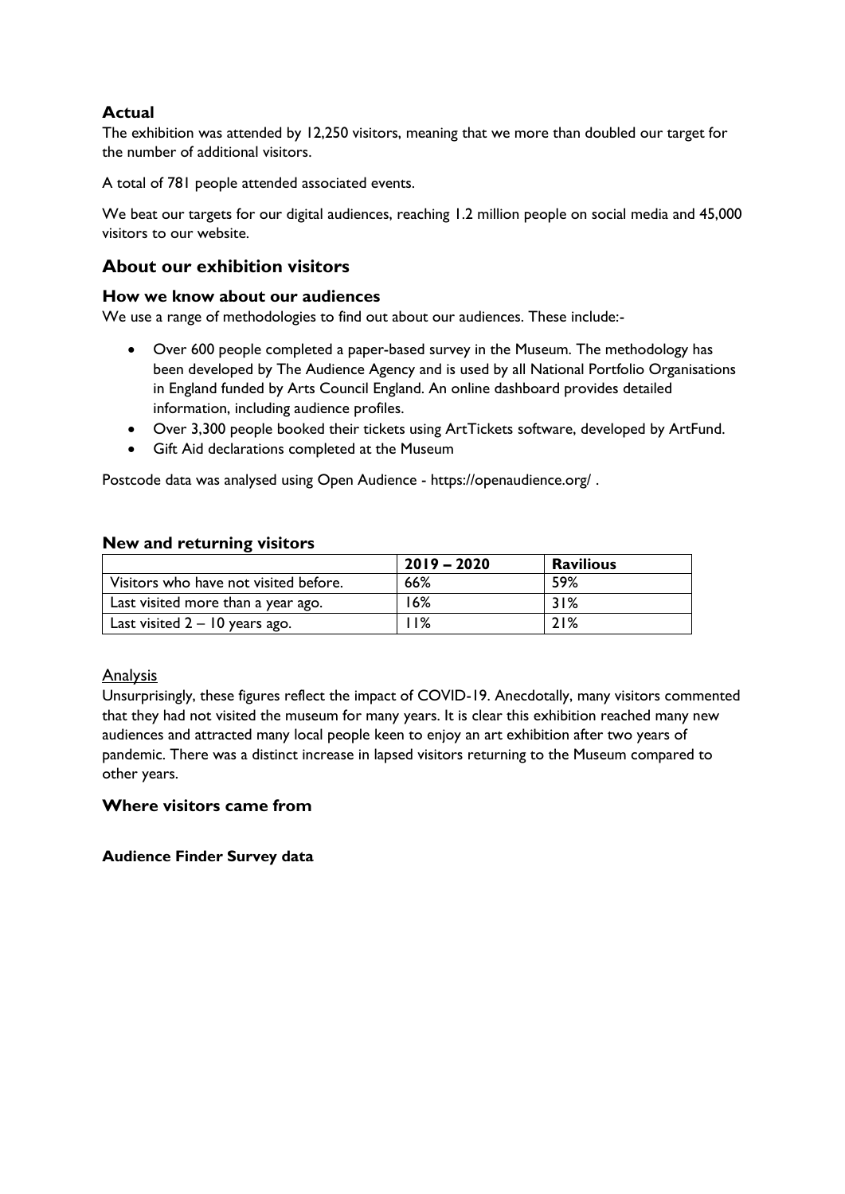# <span id="page-4-0"></span>**Actual**

The exhibition was attended by 12,250 visitors, meaning that we more than doubled our target for the number of additional visitors.

A total of 781 people attended associated events.

We beat our targets for our digital audiences, reaching 1.2 million people on social media and 45,000 visitors to our website.

## <span id="page-4-1"></span>**About our exhibition visitors**

## <span id="page-4-2"></span>**How we know about our audiences**

We use a range of methodologies to find out about our audiences. These include:-

- Over 600 people completed a paper-based survey in the Museum. The methodology has been developed by The Audience Agency and is used by all National Portfolio Organisations in England funded by Arts Council England. An online dashboard provides detailed information, including audience profiles.
- Over 3,300 people booked their tickets using ArtTickets software, developed by ArtFund.
- Gift Aid declarations completed at the Museum

Postcode data was analysed using Open Audience - https://openaudience.org/ .

#### <span id="page-4-3"></span>**New and returning visitors**

|                                       | $2019 - 2020$ | <b>Ravilious</b> |
|---------------------------------------|---------------|------------------|
| Visitors who have not visited before. | 66%           | 59%              |
| Last visited more than a year ago.    | 16%           | 31%              |
| Last visited $2 - 10$ years ago.      | ា%            | 21%              |

## Analysis

Unsurprisingly, these figures reflect the impact of COVID-19. Anecdotally, many visitors commented that they had not visited the museum for many years. It is clear this exhibition reached many new audiences and attracted many local people keen to enjoy an art exhibition after two years of pandemic. There was a distinct increase in lapsed visitors returning to the Museum compared to other years.

## <span id="page-4-4"></span>**Where visitors came from**

**Audience Finder Survey data**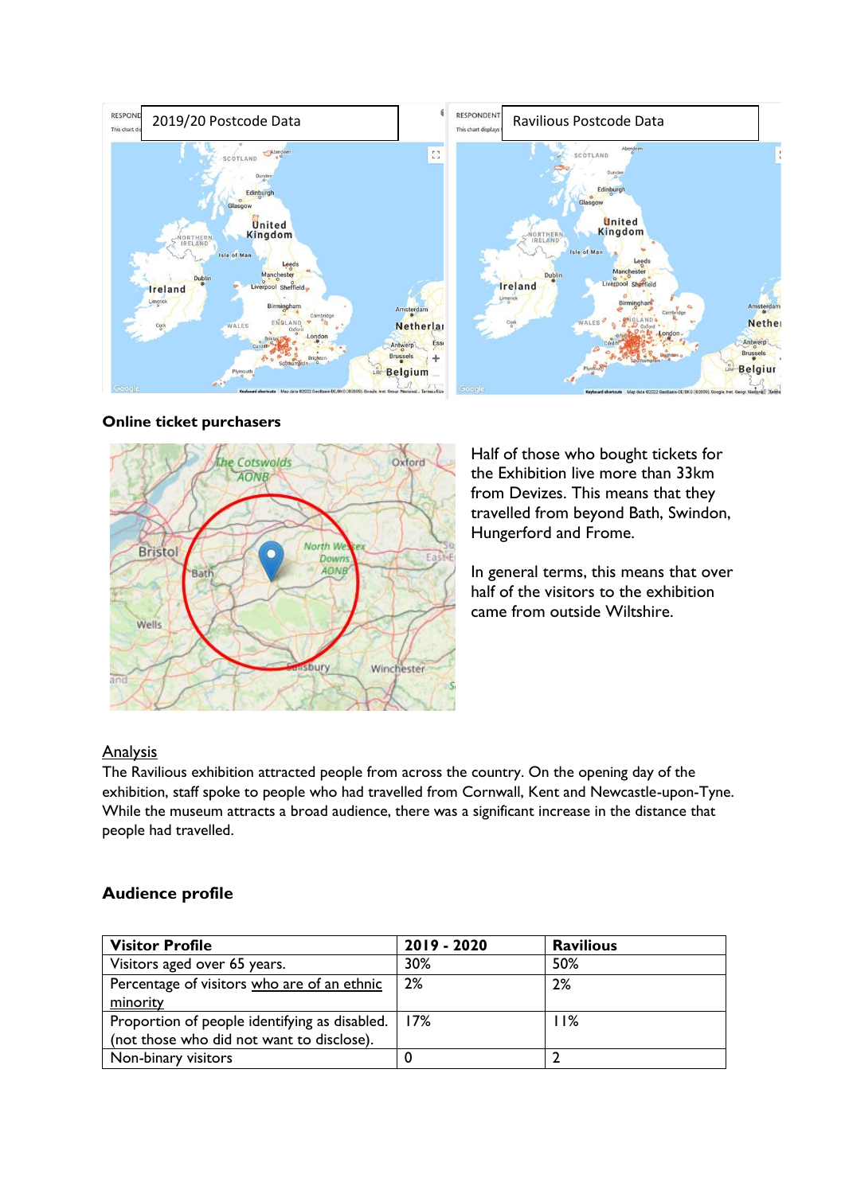

#### **Online ticket purchasers**



Half of those who bought tickets for the Exhibition live more than 33km from Devizes. This means that they travelled from beyond Bath, Swindon, Hungerford and Frome.

In general terms, this means that over half of the visitors to the exhibition came from outside Wiltshire.

## **Analysis**

The Ravilious exhibition attracted people from across the country. On the opening day of the exhibition, staff spoke to people who had travelled from Cornwall, Kent and Newcastle-upon-Tyne. While the museum attracts a broad audience, there was a significant increase in the distance that people had travelled.

## <span id="page-5-0"></span>**Audience profile**

| <b>Visitor Profile</b>                        | 2019 - 2020 | <b>Ravilious</b> |
|-----------------------------------------------|-------------|------------------|
| Visitors aged over 65 years.                  | 30%         | 50%              |
| Percentage of visitors who are of an ethnic   | 2%          | 2%               |
| minority                                      |             |                  |
| Proportion of people identifying as disabled. | 17%         | 11%              |
| (not those who did not want to disclose).     |             |                  |
| Non-binary visitors                           |             |                  |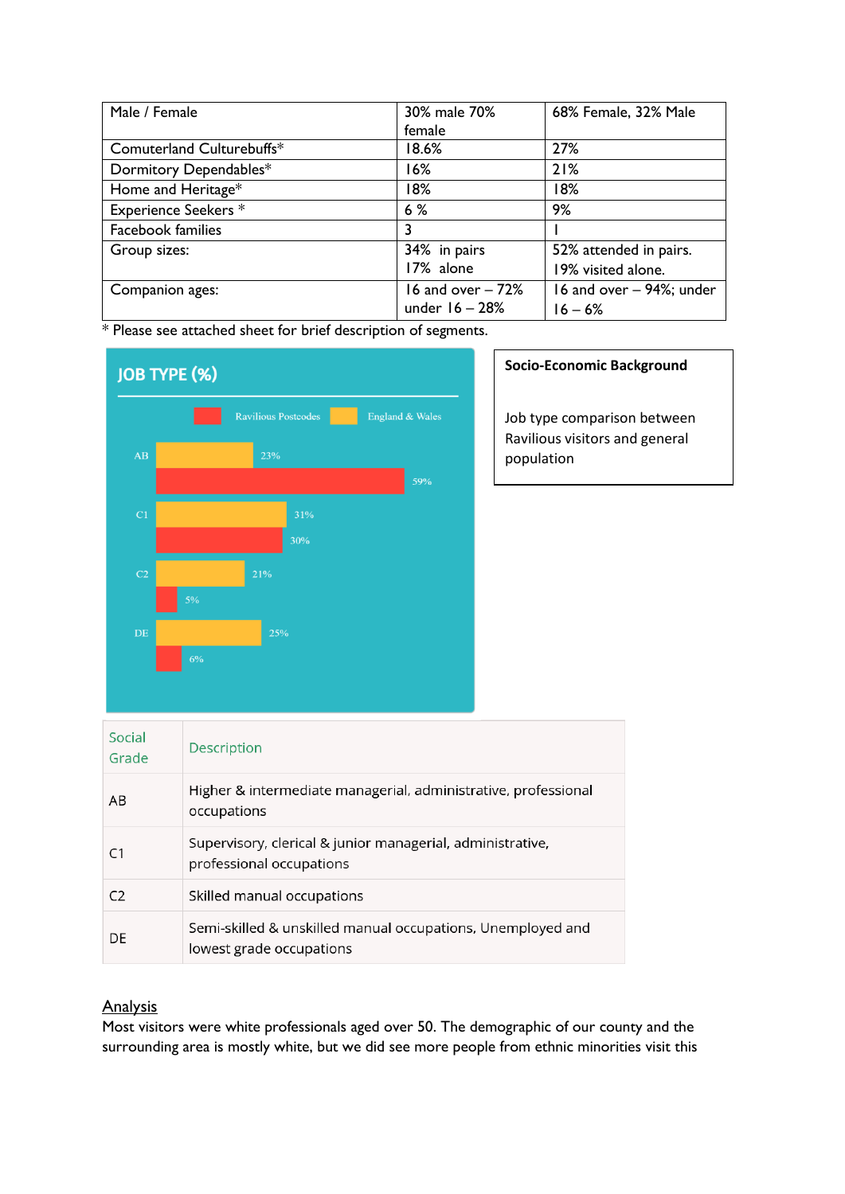| Male / Female               | 30% male 70%      | 68% Female, 32% Male     |
|-----------------------------|-------------------|--------------------------|
|                             | female            |                          |
| Comuterland Culturebuffs*   | 18.6%             | 27%                      |
| Dormitory Dependables*      | 16%               | 21%                      |
| Home and Heritage*          | 18%               | 18%                      |
| <b>Experience Seekers *</b> | 6%                | 9%                       |
| <b>Facebook families</b>    | 3                 |                          |
| Group sizes:                | 34% in pairs      | 52% attended in pairs.   |
|                             | 17% alone         | 19% visited alone.       |
| Companion ages:             | 16 and over - 72% | 16 and over - 94%; under |
|                             | under $16 - 28%$  | $16 - 6%$                |

\* Please see attached sheet for brief description of segments.



#### **Socio-Economic Background**

Job type comparison between Ravilious visitors and general population

| Social<br>Grade | Description                                                                             |
|-----------------|-----------------------------------------------------------------------------------------|
| AB              | Higher & intermediate managerial, administrative, professional<br>occupations           |
| C1              | Supervisory, clerical & junior managerial, administrative,<br>professional occupations  |
| C <sub>2</sub>  | Skilled manual occupations                                                              |
| DE              | Semi-skilled & unskilled manual occupations, Unemployed and<br>lowest grade occupations |

## **Analysis**

Most visitors were white professionals aged over 50. The demographic of our county and the surrounding area is mostly white, but we did see more people from ethnic minorities visit this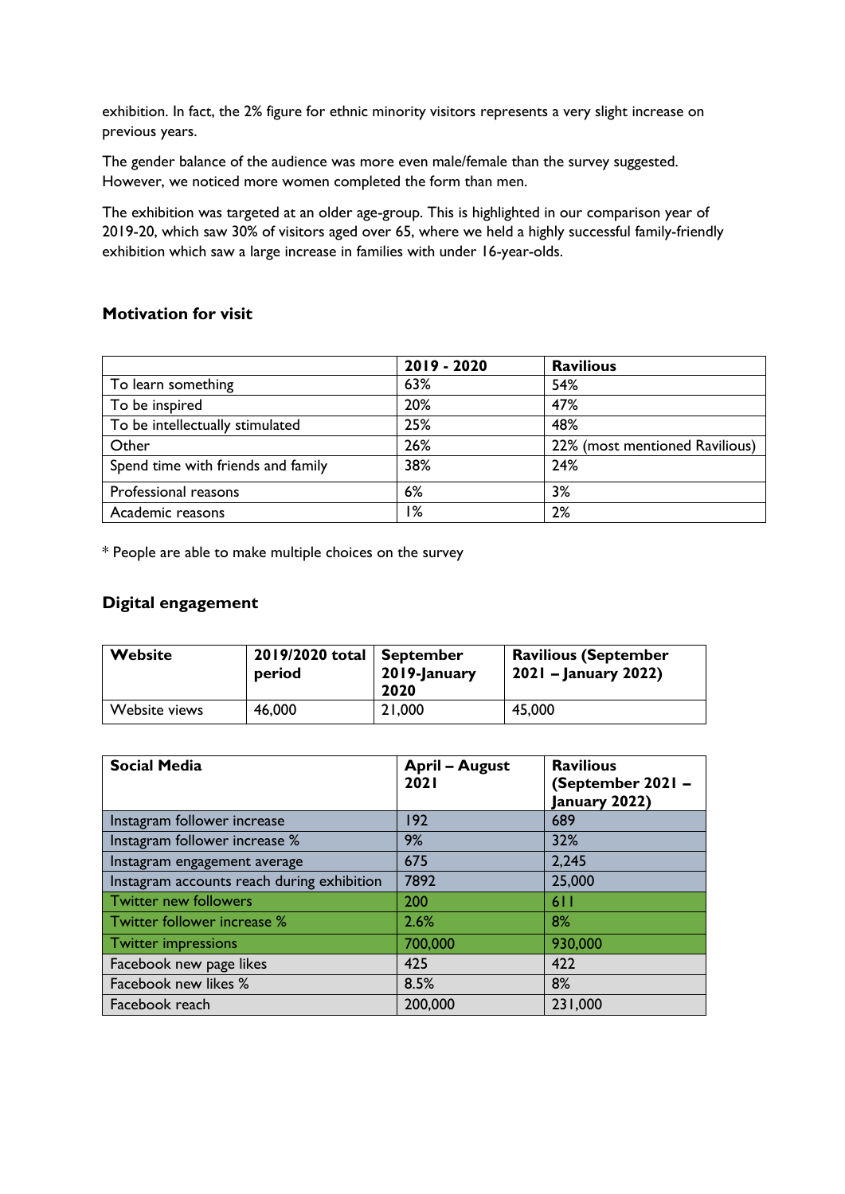exhibition. In fact, the 2% figure for ethnic minority visitors represents a very slight increase on previous years.

The gender balance of the audience was more even male/female than the survey suggested. However, we noticed more women completed the form than men.

The exhibition was targeted at an older age-group. This is highlighted in our comparison year of 2019-20, which saw 30% of visitors aged over 65, where we held a highly successful family-friendly exhibition which saw a large increase in families with under 16-year-olds.

## <span id="page-7-0"></span>**Motivation for visit**

|                                    | 2019 - 2020 | <b>Ravilious</b>               |
|------------------------------------|-------------|--------------------------------|
| To learn something                 | 63%         | 54%                            |
| To be inspired                     | 20%         | 47%                            |
| To be intellectually stimulated    | 25%         | 48%                            |
| Other                              | 26%         | 22% (most mentioned Ravilious) |
| Spend time with friends and family | 38%         | 24%                            |
| Professional reasons               | 6%          | 3%                             |
| Academic reasons                   | %ا          | 2%                             |

\* People are able to make multiple choices on the survey

# <span id="page-7-1"></span>**Digital engagement**

| <b>Website</b> | 2019/2020 total<br>period | September<br>2019-January<br>2020 | <b>Ravilious (September</b><br>2021 – January 2022) |
|----------------|---------------------------|-----------------------------------|-----------------------------------------------------|
| Website views  | 46,000                    | 21,000                            | 45,000                                              |

| <b>Social Media</b>                        | <b>April - August</b><br>2021 | <b>Ravilious</b><br>(September 2021 -<br>January 2022) |
|--------------------------------------------|-------------------------------|--------------------------------------------------------|
| Instagram follower increase                | 192                           | 689                                                    |
| Instagram follower increase %              | 9%                            | 32%                                                    |
| Instagram engagement average               | 675                           | 2,245                                                  |
| Instagram accounts reach during exhibition | 7892                          | 25,000                                                 |
| <b>Twitter new followers</b>               | 200                           | 611                                                    |
| Twitter follower increase %                | 2.6%                          | 8%                                                     |
| <b>Twitter impressions</b>                 | 700,000                       | 930,000                                                |
| Facebook new page likes                    | 425                           | 422                                                    |
| Facebook new likes %                       | 8.5%                          | 8%                                                     |
| Facebook reach                             | 200,000                       | 231,000                                                |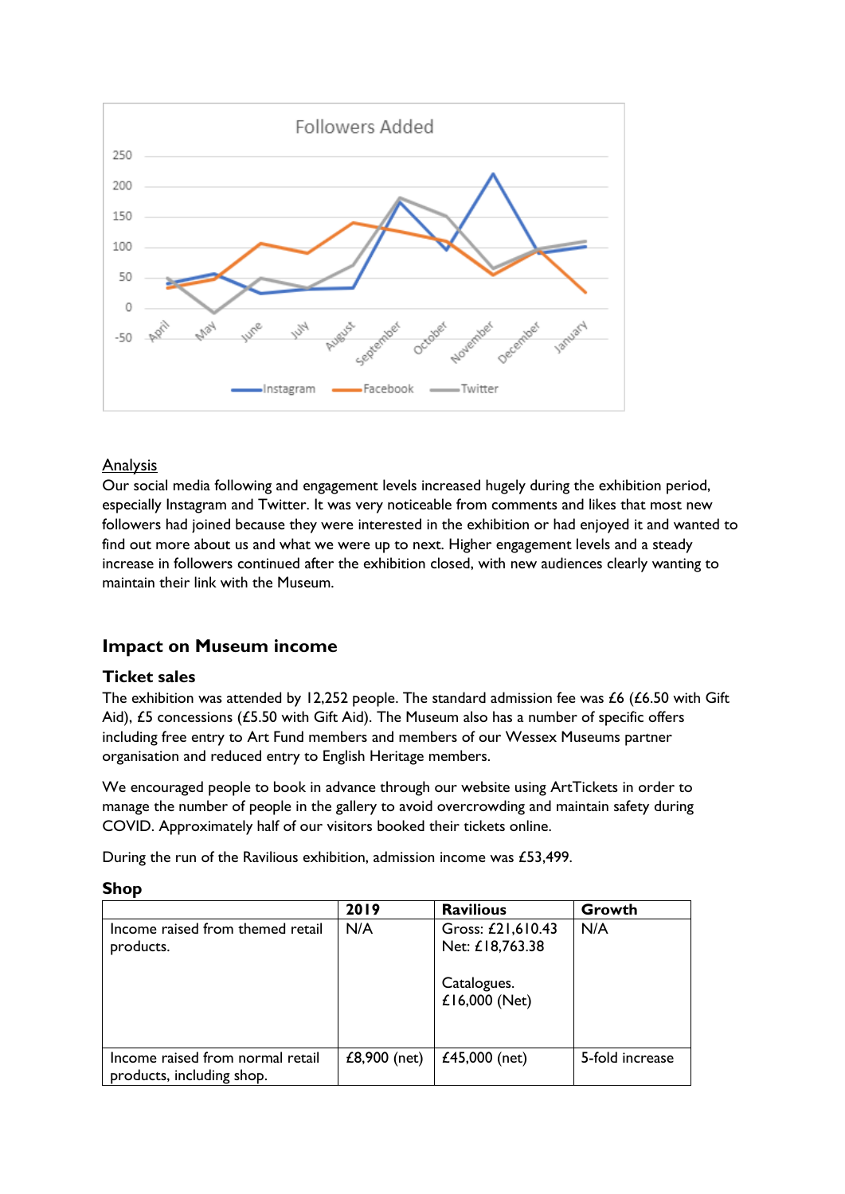

## Analysis

Our social media following and engagement levels increased hugely during the exhibition period, especially Instagram and Twitter. It was very noticeable from comments and likes that most new followers had joined because they were interested in the exhibition or had enjoyed it and wanted to find out more about us and what we were up to next. Higher engagement levels and a steady increase in followers continued after the exhibition closed, with new audiences clearly wanting to maintain their link with the Museum.

## <span id="page-8-0"></span>**Impact on Museum income**

## <span id="page-8-1"></span>**Ticket sales**

The exhibition was attended by 12,252 people. The standard admission fee was £6 (£6.50 with Gift Aid), £5 concessions (£5.50 with Gift Aid). The Museum also has a number of specific offers including free entry to Art Fund members and members of our Wessex Museums partner organisation and reduced entry to English Heritage members.

We encouraged people to book in advance through our website using ArtTickets in order to manage the number of people in the gallery to avoid overcrowding and maintain safety during COVID. Approximately half of our visitors booked their tickets online.

During the run of the Ravilious exhibition, admission income was £53,499.

<span id="page-8-2"></span>

| .,<br>.,<br>۰. |
|----------------|
|----------------|

|                                                               | 2019         | <b>Ravilious</b>                                                     | Growth          |
|---------------------------------------------------------------|--------------|----------------------------------------------------------------------|-----------------|
| Income raised from themed retail<br>products.                 | N/A          | Gross: £21,610.43<br>Net: £18,763.38<br>Catalogues.<br>£16,000 (Net) | N/A             |
| Income raised from normal retail<br>products, including shop. | £8,900 (net) | £45,000 (net)                                                        | 5-fold increase |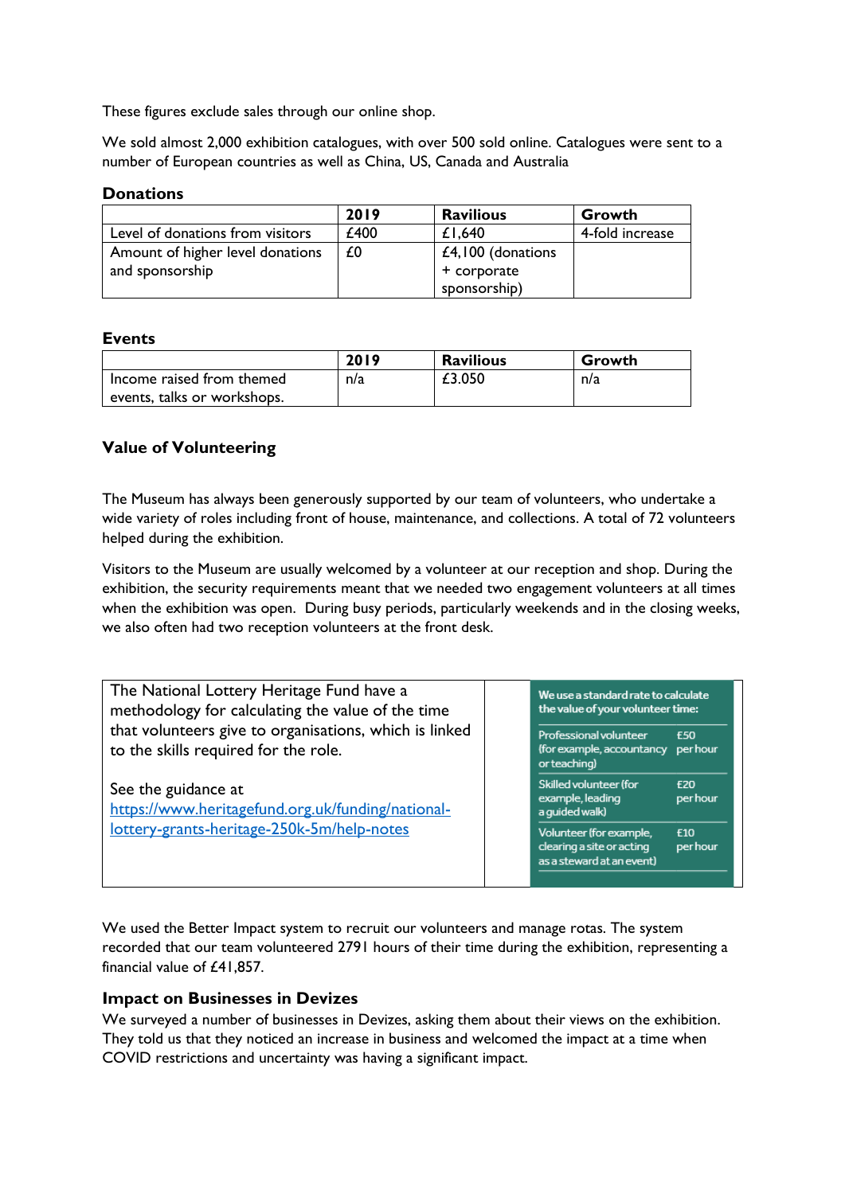These figures exclude sales through our online shop.

We sold almost 2,000 exhibition catalogues, with over 500 sold online. Catalogues were sent to a number of European countries as well as China, US, Canada and Australia

#### <span id="page-9-0"></span>**Donations**

|                                  | 2019 | <b>Ravilious</b>    | Growth          |
|----------------------------------|------|---------------------|-----------------|
| Level of donations from visitors | £400 | £1,640              | 4-fold increase |
| Amount of higher level donations | £0   | $£4,100$ (donations |                 |
| and sponsorship                  |      | + corporate         |                 |
|                                  |      | sponsorship)        |                 |

## <span id="page-9-1"></span>**Events**

|                             | 2019 | <b>Ravilious</b> | Growth |
|-----------------------------|------|------------------|--------|
| Income raised from themed   | n/a  | £3.050           | n/a    |
| events, talks or workshops. |      |                  |        |

## <span id="page-9-2"></span>**Value of Volunteering**

The Museum has always been generously supported by our team of volunteers, who undertake a wide variety of roles including front of house, maintenance, and collections. A total of 72 volunteers helped during the exhibition.

Visitors to the Museum are usually welcomed by a volunteer at our reception and shop. During the exhibition, the security requirements meant that we needed two engagement volunteers at all times when the exhibition was open. During busy periods, particularly weekends and in the closing weeks, we also often had two reception volunteers at the front desk.

| The National Lottery Heritage Fund have a<br>methodology for calculating the value of the time<br>that volunteers give to organisations, which is linked<br>to the skills required for the role.<br>See the guidance at<br>https://www.heritagefund.org.uk/funding/national- |  | We use a standard rate to calculate<br>the value of your volunteer time:          |                               |
|------------------------------------------------------------------------------------------------------------------------------------------------------------------------------------------------------------------------------------------------------------------------------|--|-----------------------------------------------------------------------------------|-------------------------------|
|                                                                                                                                                                                                                                                                              |  | Professional volunteer<br>(for example, accountancy per hour<br>or teaching)      | £50                           |
|                                                                                                                                                                                                                                                                              |  | Skilled volunteer (for<br>example, leading<br>a guided walk)                      | <b>F20</b><br><b>per hour</b> |
| lottery-grants-heritage-250k-5m/help-notes                                                                                                                                                                                                                                   |  | Volunteer (for example,<br>clearing a site or acting<br>as a steward at an event) | £10<br>per hour               |

We used the Better Impact system to recruit our volunteers and manage rotas. The system recorded that our team volunteered 2791 hours of their time during the exhibition, representing a financial value of £41,857.

#### <span id="page-9-3"></span>**Impact on Businesses in Devizes**

We surveyed a number of businesses in Devizes, asking them about their views on the exhibition. They told us that they noticed an increase in business and welcomed the impact at a time when COVID restrictions and uncertainty was having a significant impact.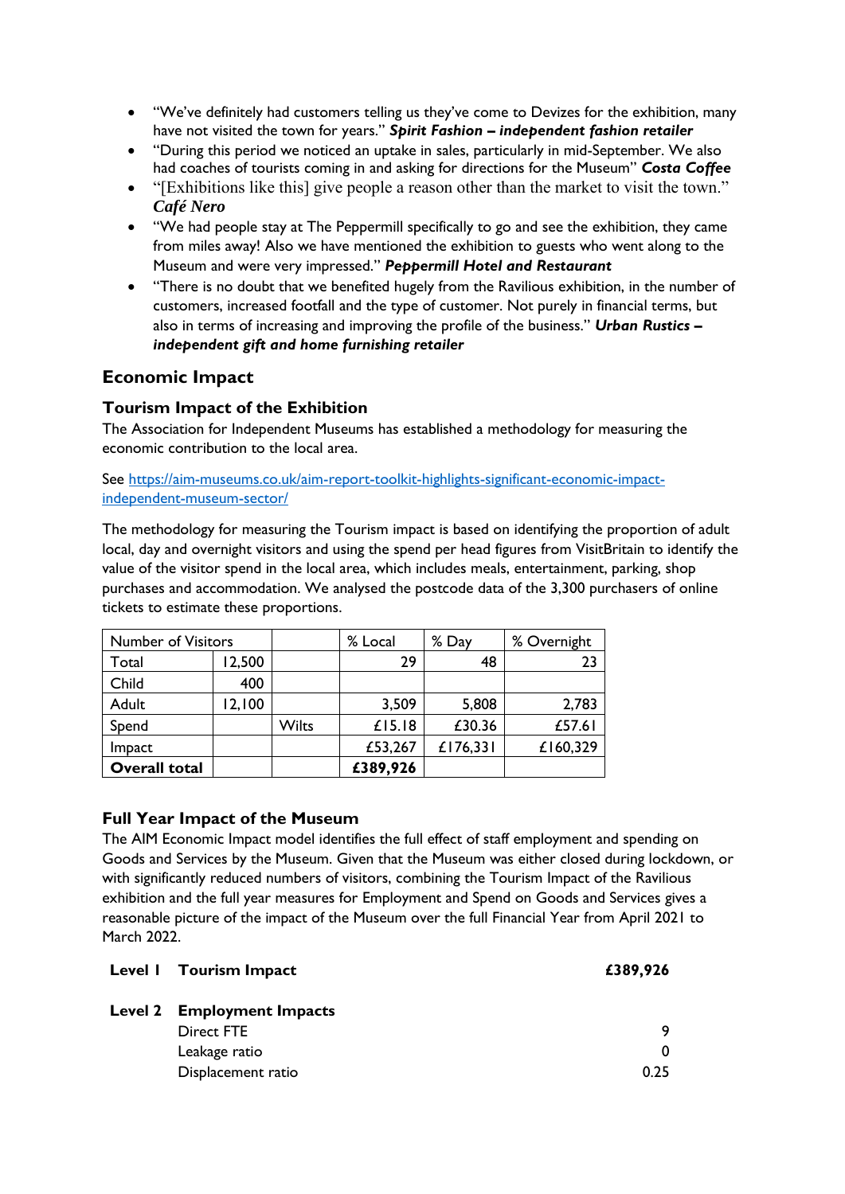- "We've definitely had customers telling us they've come to Devizes for the exhibition, many have not visited the town for years." *Spirit Fashion – independent fashion retailer*
- "During this period we noticed an uptake in sales, particularly in mid-September. We also had coaches of tourists coming in and asking for directions for the Museum" *Costa Coffee*
- "[Exhibitions like this] give people a reason other than the market to visit the town." *Café Nero*
- "We had people stay at The Peppermill specifically to go and see the exhibition, they came from miles away! Also we have mentioned the exhibition to guests who went along to the Museum and were very impressed." *Peppermill Hotel and Restaurant*
- "There is no doubt that we benefited hugely from the Ravilious exhibition, in the number of customers, increased footfall and the type of customer. Not purely in financial terms, but also in terms of increasing and improving the profile of the business." *Urban Rustics – independent gift and home furnishing retailer*

# <span id="page-10-0"></span>**Economic Impact**

## <span id="page-10-1"></span>**Tourism Impact of the Exhibition**

The Association for Independent Museums has established a methodology for measuring the economic contribution to the local area.

See [https://aim-museums.co.uk/aim-report-toolkit-highlights-significant-economic-impact](https://aim-museums.co.uk/aim-report-toolkit-highlights-significant-economic-impact-independent-museum-sector/)[independent-museum-sector/](https://aim-museums.co.uk/aim-report-toolkit-highlights-significant-economic-impact-independent-museum-sector/)

The methodology for measuring the Tourism impact is based on identifying the proportion of adult local, day and overnight visitors and using the spend per head figures from VisitBritain to identify the value of the visitor spend in the local area, which includes meals, entertainment, parking, shop purchases and accommodation. We analysed the postcode data of the 3,300 purchasers of online tickets to estimate these proportions.

| <b>Number of Visitors</b> |        |              | % Local  | % Day    | % Overnight |
|---------------------------|--------|--------------|----------|----------|-------------|
| Total                     | 12,500 |              | 29       | 48       | 23          |
| Child                     | 400    |              |          |          |             |
| Adult                     | 12,100 |              | 3,509    | 5,808    | 2,783       |
| Spend                     |        | <b>Wilts</b> | £15.18   | £30.36   | £57.61      |
| Impact                    |        |              | £53,267  | £176,331 | £160,329    |
| <b>Overall total</b>      |        |              | £389,926 |          |             |

## <span id="page-10-2"></span>**Full Year Impact of the Museum**

The AIM Economic Impact model identifies the full effect of staff employment and spending on Goods and Services by the Museum. Given that the Museum was either closed during lockdown, or with significantly reduced numbers of visitors, combining the Tourism Impact of the Ravilious exhibition and the full year measures for Employment and Spend on Goods and Services gives a reasonable picture of the impact of the Museum over the full Financial Year from April 2021 to March 2022.

| Level I Tourism Impact            | £389,926 |
|-----------------------------------|----------|
| <b>Level 2 Employment Impacts</b> |          |
| Direct FTE                        | 9        |
| Leakage ratio                     | 0        |
| Displacement ratio                | 0.25     |
|                                   |          |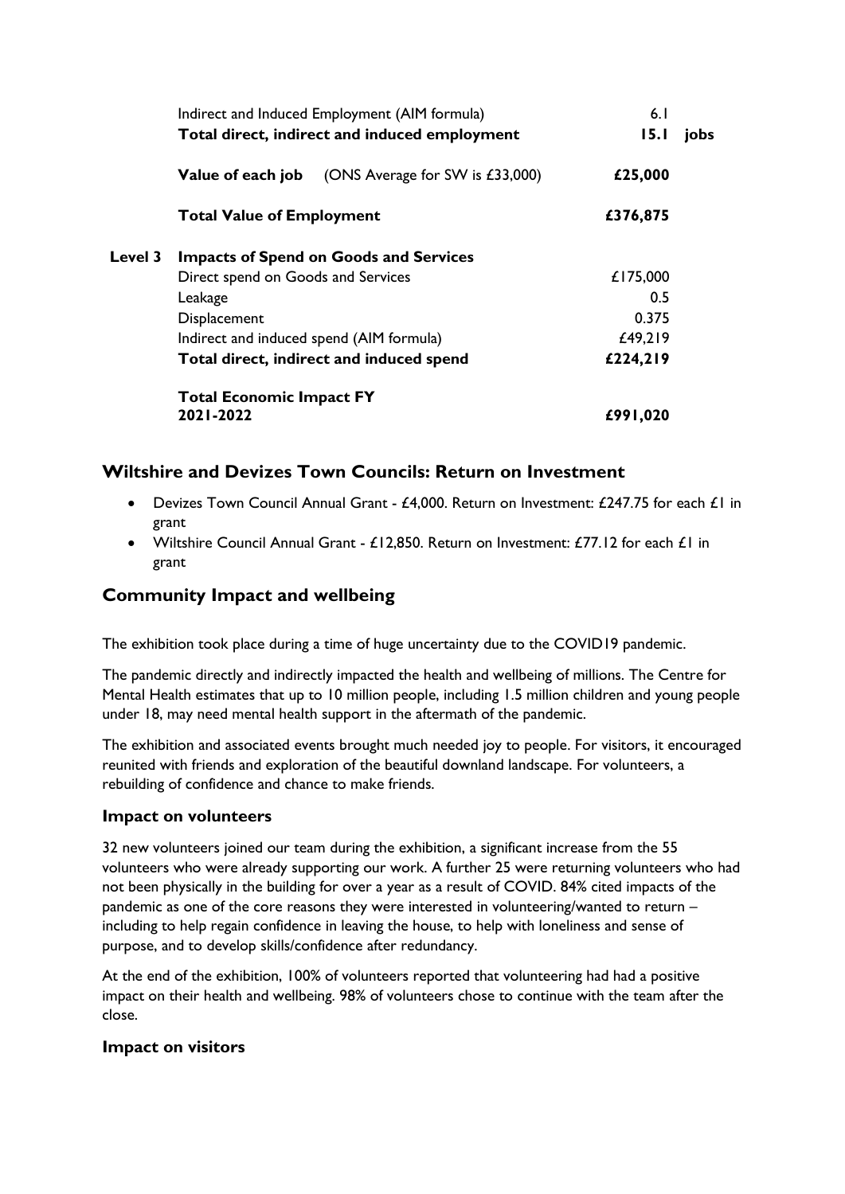|                | Indirect and Induced Employment (AIM formula)<br>Total direct, indirect and induced employment |                                               | 6.1<br>15.1 | jobs |
|----------------|------------------------------------------------------------------------------------------------|-----------------------------------------------|-------------|------|
|                | Value of each job                                                                              | (ONS Average for SW is £33,000)               | £25,000     |      |
|                | <b>Total Value of Employment</b>                                                               |                                               | £376,875    |      |
| <b>Level 3</b> |                                                                                                | <b>Impacts of Spend on Goods and Services</b> |             |      |
|                | Direct spend on Goods and Services                                                             |                                               | £175,000    |      |
|                | Leakage                                                                                        |                                               | 0.5         |      |
|                | Displacement                                                                                   |                                               | 0.375       |      |
|                | Indirect and induced spend (AIM formula)                                                       |                                               | £49,219     |      |
|                |                                                                                                | Total direct, indirect and induced spend      | £224,219    |      |
|                | <b>Total Economic Impact FY</b>                                                                |                                               |             |      |
|                | 2021-2022                                                                                      |                                               | £991,020    |      |

## **Wiltshire and Devizes Town Councils: Return on Investment**

- Devizes Town Council Annual Grant £4,000. Return on Investment: £247.75 for each £1 in grant
- Wiltshire Council Annual Grant  $£12,850$ . Return on Investment:  $£77.12$  for each  $£1$  in grant

## <span id="page-11-0"></span>**Community Impact and wellbeing**

The exhibition took place during a time of huge uncertainty due to the COVID19 pandemic.

The pandemic directly and indirectly impacted the health and wellbeing of millions. The Centre for Mental Health estimates that up to 10 million people, including 1.5 million children and young people under 18, may need mental health support in the aftermath of the pandemic.

The exhibition and associated events brought much needed joy to people. For visitors, it encouraged reunited with friends and exploration of the beautiful downland landscape. For volunteers, a rebuilding of confidence and chance to make friends.

## **Impact on volunteers**

32 new volunteers joined our team during the exhibition, a significant increase from the 55 volunteers who were already supporting our work. A further 25 were returning volunteers who had not been physically in the building for over a year as a result of COVID. 84% cited impacts of the pandemic as one of the core reasons they were interested in volunteering/wanted to return – including to help regain confidence in leaving the house, to help with loneliness and sense of purpose, and to develop skills/confidence after redundancy.

At the end of the exhibition, 100% of volunteers reported that volunteering had had a positive impact on their health and wellbeing. 98% of volunteers chose to continue with the team after the close.

## **Impact on visitors**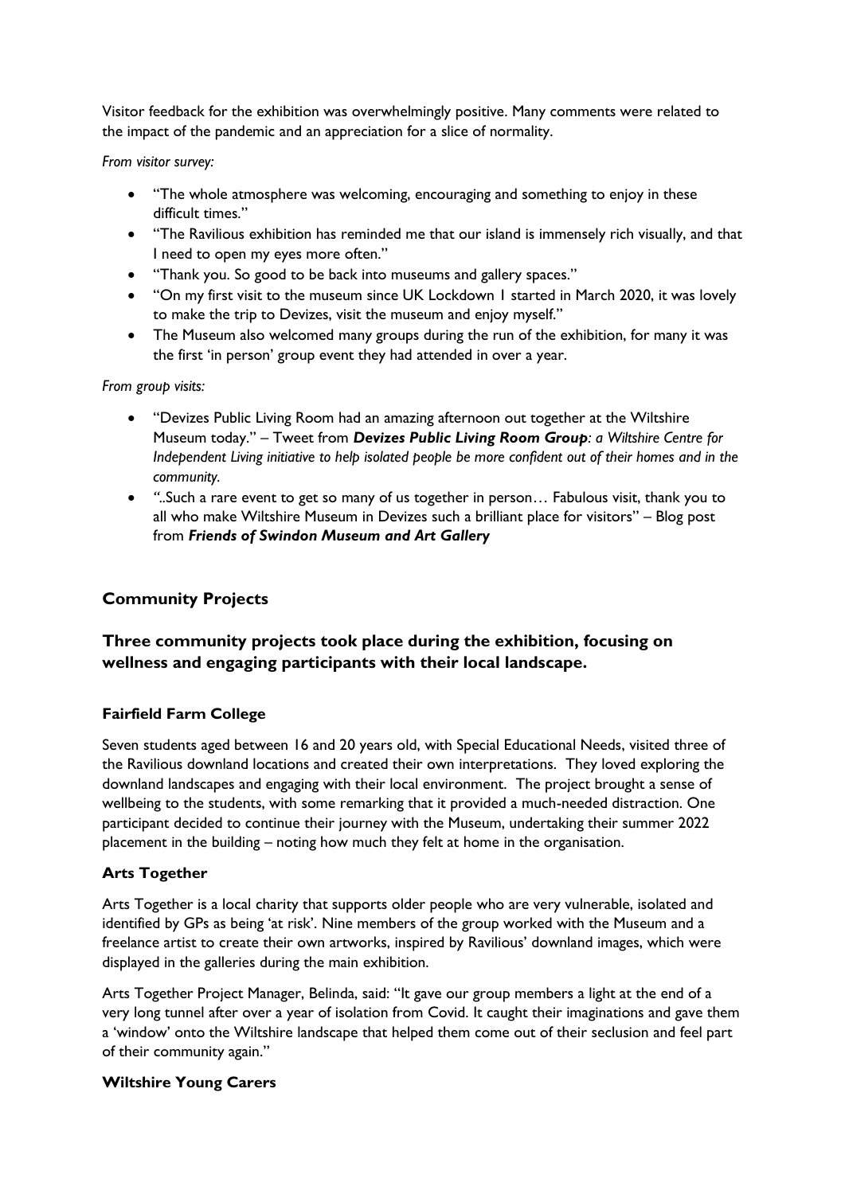Visitor feedback for the exhibition was overwhelmingly positive. Many comments were related to the impact of the pandemic and an appreciation for a slice of normality.

*From visitor survey:* 

- "The whole atmosphere was welcoming, encouraging and something to enjoy in these difficult times."
- "The Ravilious exhibition has reminded me that our island is immensely rich visually, and that I need to open my eyes more often."
- "Thank you. So good to be back into museums and gallery spaces."
- "On my first visit to the museum since UK Lockdown 1 started in March 2020, it was lovely to make the trip to Devizes, visit the museum and enjoy myself."
- The Museum also welcomed many groups during the run of the exhibition, for many it was the first 'in person' group event they had attended in over a year.

*From group visits:* 

- "Devizes Public Living Room had an amazing afternoon out together at the Wiltshire Museum today." – Tweet from *Devizes Public Living Room Group: a Wiltshire Centre for Independent Living initiative to help isolated people be more confident out of their homes and in the community.*
- *"..*Such a rare event to get so many of us together in person… Fabulous visit, thank you to all who make Wiltshire Museum in Devizes such a brilliant place for visitors" – Blog post from *Friends of Swindon Museum and Art Gallery*

## **Community Projects**

## **Three community projects took place during the exhibition, focusing on wellness and engaging participants with their local landscape.**

## **Fairfield Farm College**

Seven students aged between 16 and 20 years old, with Special Educational Needs, visited three of the Ravilious downland locations and created their own interpretations. They loved exploring the downland landscapes and engaging with their local environment. The project brought a sense of wellbeing to the students, with some remarking that it provided a much-needed distraction. One participant decided to continue their journey with the Museum, undertaking their summer 2022 placement in the building – noting how much they felt at home in the organisation.

## **Arts Together**

Arts Together is a local charity that supports older people who are very vulnerable, isolated and identified by GPs as being 'at risk'. Nine members of the group worked with the Museum and a freelance artist to create their own artworks, inspired by Ravilious' downland images, which were displayed in the galleries during the main exhibition.

Arts Together Project Manager, Belinda, said: "It gave our group members a light at the end of a very long tunnel after over a year of isolation from Covid. It caught their imaginations and gave them a 'window' onto the Wiltshire landscape that helped them come out of their seclusion and feel part of their community again."

## **Wiltshire Young Carers**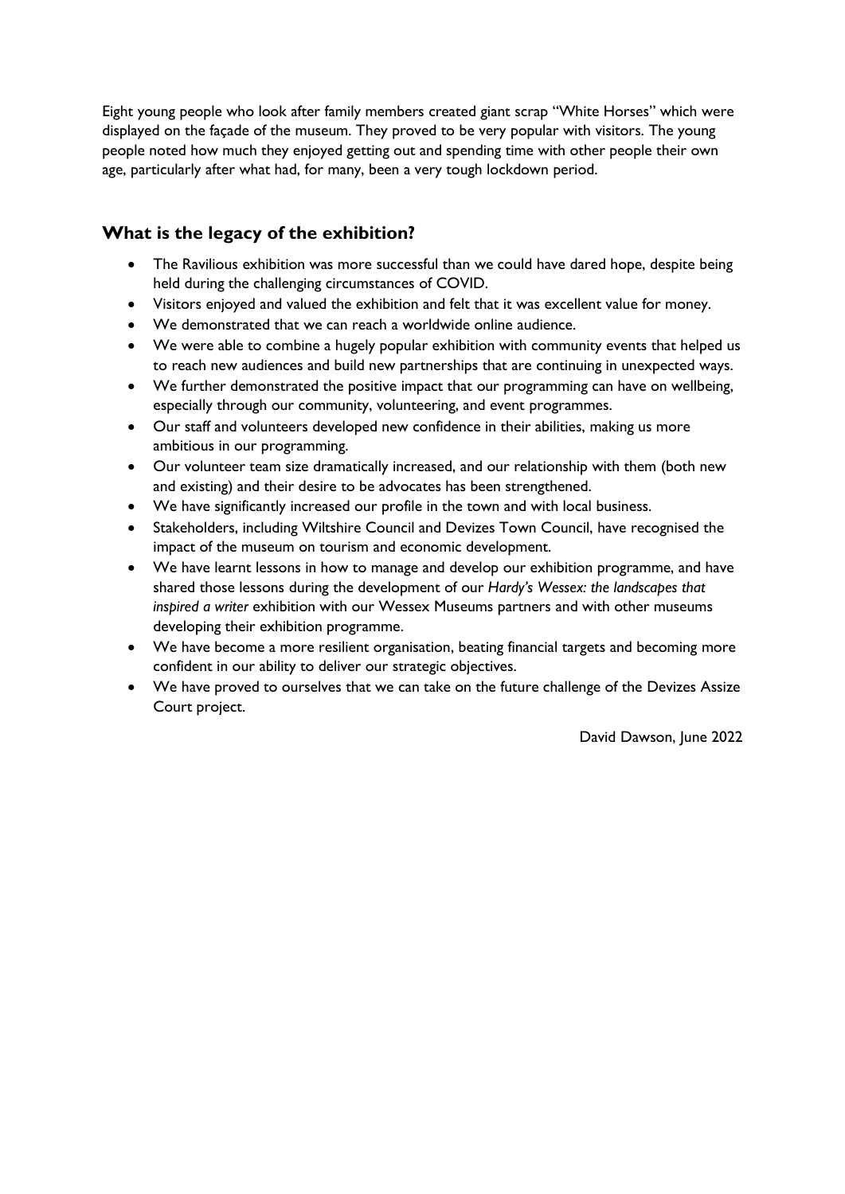Eight young people who look after family members created giant scrap "White Horses" which were displayed on the façade of the museum. They proved to be very popular with visitors. The young people noted how much they enjoyed getting out and spending time with other people their own age, particularly after what had, for many, been a very tough lockdown period.

# <span id="page-13-0"></span>**What is the legacy of the exhibition?**

- The Ravilious exhibition was more successful than we could have dared hope, despite being held during the challenging circumstances of COVID.
- Visitors enjoyed and valued the exhibition and felt that it was excellent value for money.
- We demonstrated that we can reach a worldwide online audience.
- We were able to combine a hugely popular exhibition with community events that helped us to reach new audiences and build new partnerships that are continuing in unexpected ways.
- We further demonstrated the positive impact that our programming can have on wellbeing, especially through our community, volunteering, and event programmes.
- Our staff and volunteers developed new confidence in their abilities, making us more ambitious in our programming.
- Our volunteer team size dramatically increased, and our relationship with them (both new and existing) and their desire to be advocates has been strengthened.
- We have significantly increased our profile in the town and with local business.
- Stakeholders, including Wiltshire Council and Devizes Town Council, have recognised the impact of the museum on tourism and economic development.
- We have learnt lessons in how to manage and develop our exhibition programme, and have shared those lessons during the development of our *Hardy's Wessex: the landscapes that inspired a writer* exhibition with our Wessex Museums partners and with other museums developing their exhibition programme.
- We have become a more resilient organisation, beating financial targets and becoming more confident in our ability to deliver our strategic objectives.
- We have proved to ourselves that we can take on the future challenge of the Devizes Assize Court project.

David Dawson, June 2022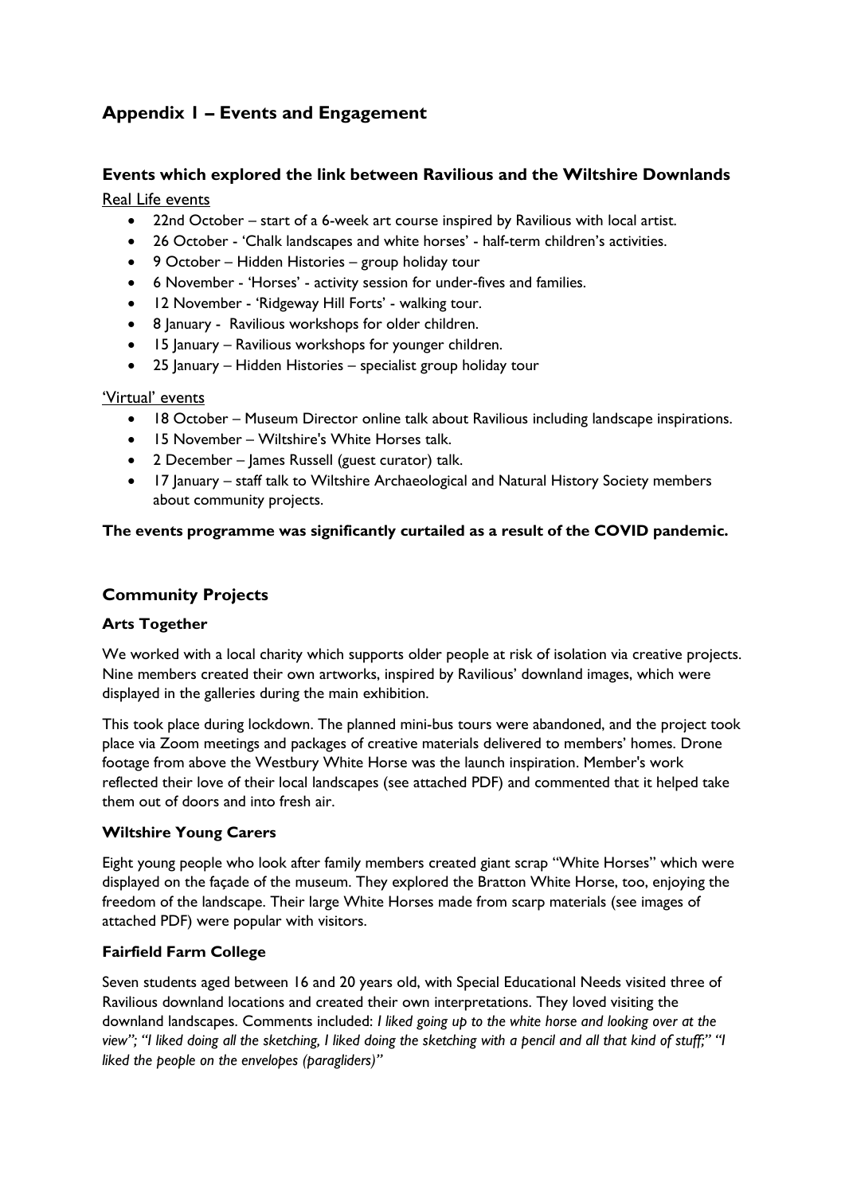# <span id="page-14-0"></span>**Appendix 1 – Events and Engagement**

## <span id="page-14-1"></span>**Events which explored the link between Ravilious and the Wiltshire Downlands** Real Life events

- 22nd October start of a 6-week art course inspired by Ravilious with local artist.
- 26 October 'Chalk landscapes and white horses' half-term children's activities.
- 9 October Hidden Histories group holiday tour
- 6 November 'Horses' activity session for under-fives and families.
- 12 November 'Ridgeway Hill Forts' walking tour.
- 8 January Ravilious workshops for older children.
- 15 January Ravilious workshops for younger children.
- 25 January Hidden Histories specialist group holiday tour

## 'Virtual' events

- 18 October Museum Director online talk about Ravilious including landscape inspirations.
- 15 November Wiltshire's White Horses talk.
- 2 December James Russell (guest curator) talk.
- 17 January staff talk to Wiltshire Archaeological and Natural History Society members about community projects.

## <span id="page-14-2"></span>**The events programme was significantly curtailed as a result of the COVID pandemic.**

## **Community Projects**

## **Arts Together**

We worked with a local charity which supports older people at risk of isolation via creative projects. Nine members created their own artworks, inspired by Ravilious' downland images, which were displayed in the galleries during the main exhibition.

This took place during lockdown. The planned mini-bus tours were abandoned, and the project took place via Zoom meetings and packages of creative materials delivered to members' homes. Drone footage from above the Westbury White Horse was the launch inspiration. Member's work reflected their love of their local landscapes (see attached PDF) and commented that it helped take them out of doors and into fresh air.

## **Wiltshire Young Carers**

Eight young people who look after family members created giant scrap "White Horses" which were displayed on the façade of the museum. They explored the Bratton White Horse, too, enjoying the freedom of the landscape. Their large White Horses made from scarp materials (see images of attached PDF) were popular with visitors.

## **Fairfield Farm College**

Seven students aged between 16 and 20 years old, with Special Educational Needs visited three of Ravilious downland locations and created their own interpretations. They loved visiting the downland landscapes. Comments included: *I liked going up to the white horse and looking over at the view"; "I liked doing all the sketching, I liked doing the sketching with a pencil and all that kind of stuff;" "I liked the people on the envelopes (paragliders)"*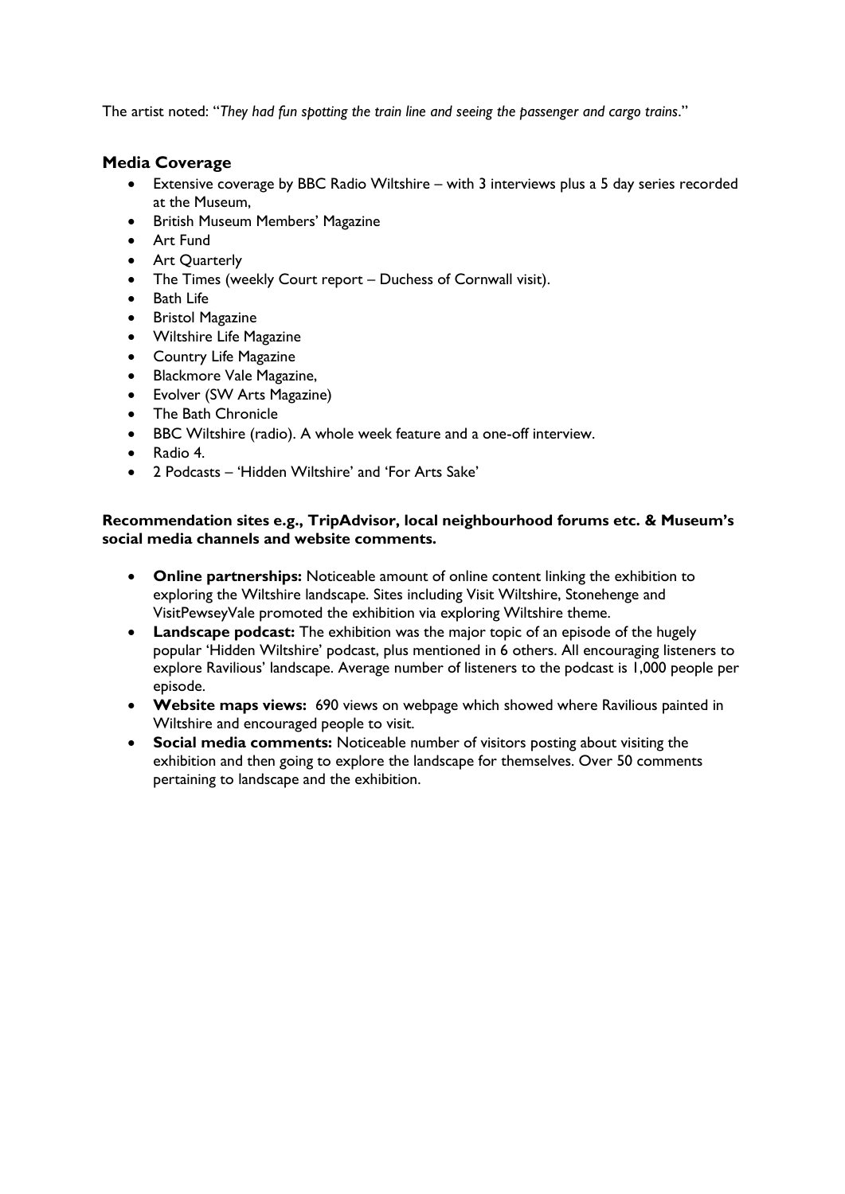The artist noted: "*They had fun spotting the train line and seeing the passenger and cargo trains*."

## <span id="page-15-0"></span>**Media Coverage**

- Extensive coverage by BBC Radio Wiltshire with 3 interviews plus a 5 day series recorded at the Museum,
- British Museum Members' Magazine
- Art Fund
- Art Quarterly
- The Times (weekly Court report Duchess of Cornwall visit).
- Bath Life
- **Bristol Magazine**
- Wiltshire Life Magazine
- Country Life Magazine
- Blackmore Vale Magazine,
- Evolver (SW Arts Magazine)
- The Bath Chronicle
- BBC Wiltshire (radio). A whole week feature and a one-off interview.
- Radio 4.
- 2 Podcasts 'Hidden Wiltshire' and 'For Arts Sake'

#### **Recommendation sites e.g., TripAdvisor, local neighbourhood forums etc. & Museum's social media channels and website comments.**

- **Online partnerships:** Noticeable amount of online content linking the exhibition to exploring the Wiltshire landscape. Sites including Visit Wiltshire, Stonehenge and VisitPewseyVale promoted the exhibition via exploring Wiltshire theme.
- **Landscape podcast:** The exhibition was the major topic of an episode of the hugely popular 'Hidden Wiltshire' podcast, plus mentioned in 6 others. All encouraging listeners to explore Ravilious' landscape. Average number of listeners to the podcast is 1,000 people per episode.
- **Website maps views:** 690 views on webpage which showed where Ravilious painted in Wiltshire and encouraged people to visit.
- **Social media comments:** Noticeable number of visitors posting about visiting the exhibition and then going to explore the landscape for themselves. Over 50 comments pertaining to landscape and the exhibition.